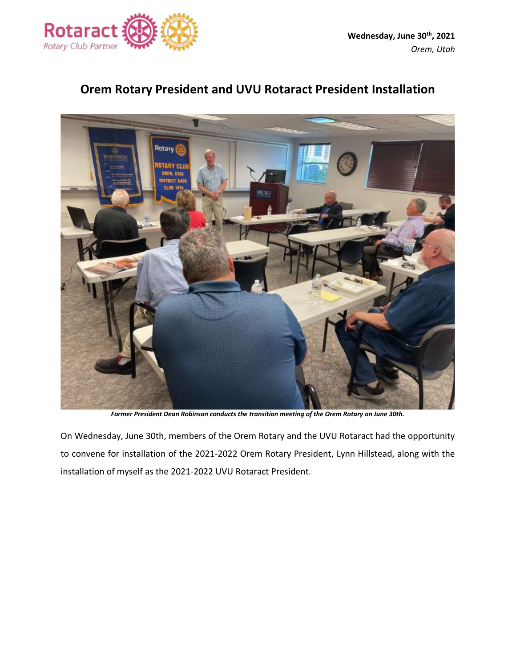

## **Orem Rotary President and UVU Rotaract President Installation**



*Former President Dean Robinson conducts the transition meeting of the Orem Rotary on June 30th.*

On Wednesday, June 30th, members of the Orem Rotary and the UVU Rotaract had the opportunity to convene for installation of the 2021-2022 Orem Rotary President, Lynn Hillstead, along with the installation of myself as the 2021-2022 UVU Rotaract President.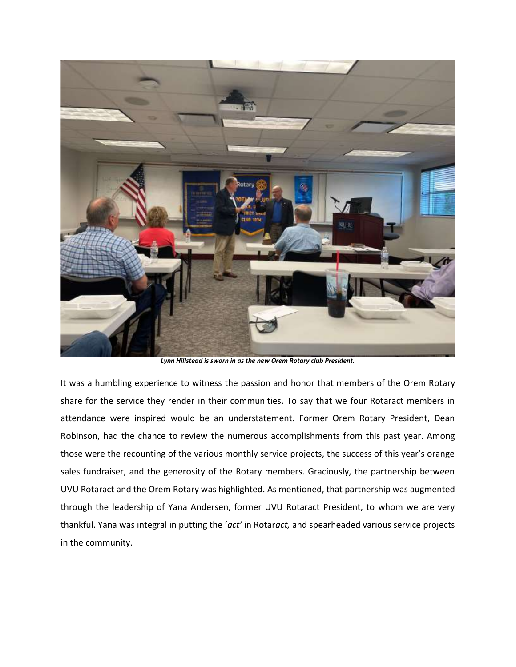

*Lynn Hillstead is sworn in as the new Orem Rotary club President.*

It was a humbling experience to witness the passion and honor that members of the Orem Rotary share for the service they render in their communities. To say that we four Rotaract members in attendance were inspired would be an understatement. Former Orem Rotary President, Dean Robinson, had the chance to review the numerous accomplishments from this past year. Among those were the recounting of the various monthly service projects, the success of this year's orange sales fundraiser, and the generosity of the Rotary members. Graciously, the partnership between UVU Rotaract and the Orem Rotary was highlighted. As mentioned, that partnership was augmented through the leadership of Yana Andersen, former UVU Rotaract President, to whom we are very thankful. Yana was integral in putting the '*act'* in Rotar*act,* and spearheaded various service projects in the community.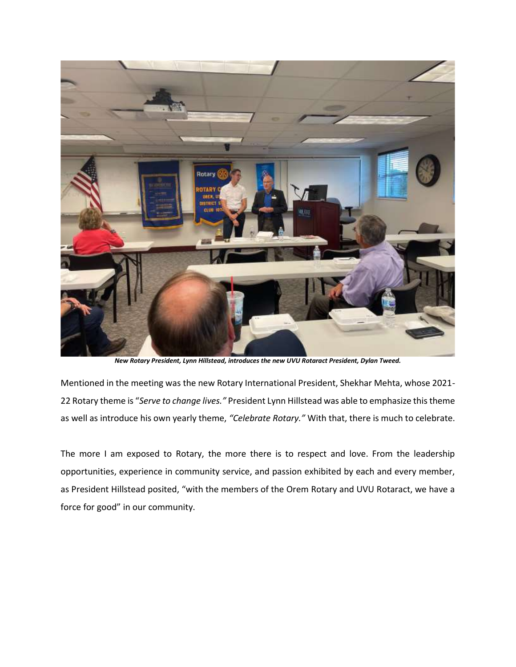

*New Rotary President, Lynn Hillstead, introduces the new UVU Rotaract President, Dylan Tweed.*

Mentioned in the meeting was the new Rotary International President, Shekhar Mehta, whose 2021- 22 Rotary theme is "*Serve to change lives."* President Lynn Hillstead was able to emphasize this theme as well as introduce his own yearly theme, *"Celebrate Rotary."* With that, there is much to celebrate.

The more I am exposed to Rotary, the more there is to respect and love. From the leadership opportunities, experience in community service, and passion exhibited by each and every member, as President Hillstead posited, "with the members of the Orem Rotary and UVU Rotaract, we have a force for good" in our community.